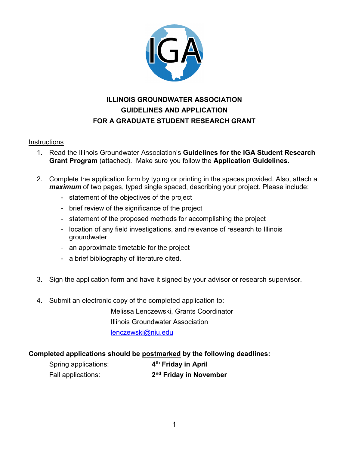

## **ILLINOIS GROUNDWATER ASSOCIATION GUIDELINES AND APPLICATION FOR A GRADUATE STUDENT RESEARCH GRANT**

#### **Instructions**

- 1. Read the Illinois Groundwater Association's **Guidelines for the IGA Student Research Grant Program** (attached). Make sure you follow the **Application Guidelines.**
- 2. Complete the application form by typing or printing in the spaces provided. Also, attach a *maximum* of two pages, typed single spaced, describing your project. Please include:
	- statement of the objectives of the project
	- brief review of the significance of the project
	- statement of the proposed methods for accomplishing the project
	- location of any field investigations, and relevance of research to Illinois groundwater
	- an approximate timetable for the project
	- a brief bibliography of literature cited.
- 3. Sign the application form and have it signed by your advisor or research supervisor.
- 4. Submit an electronic copy of the completed application to:

Melissa Lenczewski, Grants Coordinator Illinois Groundwater Association [lenczewski@niu.edu](mailto:lenczewski@niu.edu) 

### **Completed applications should be postmarked by the following deadlines:**

| Spring applications: | 4 <sup>th</sup> Friday in April |  |  |
|----------------------|---------------------------------|--|--|
| Fall applications:   | 2 <sup>nd</sup> Friday in Nove  |  |  |

Fall applications: **2nd Friday in November**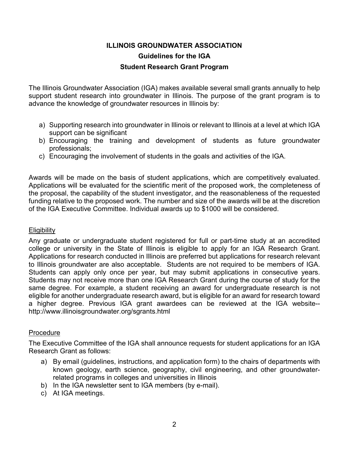## **ILLINOIS GROUNDWATER ASSOCIATION Guidelines for the IGA Student Research Grant Program**

The Illinois Groundwater Association (IGA) makes available several small grants annually to help support student research into groundwater in Illinois. The purpose of the grant program is to advance the knowledge of groundwater resources in Illinois by:

- a) Supporting research into groundwater in Illinois or relevant to Illinois at a level at which IGA support can be significant
- b) Encouraging the training and development of students as future groundwater professionals;
- c) Encouraging the involvement of students in the goals and activities of the IGA.

Awards will be made on the basis of student applications, which are competitively evaluated. Applications will be evaluated for the scientific merit of the proposed work, the completeness of the proposal, the capability of the student investigator, and the reasonableness of the requested funding relative to the proposed work. The number and size of the awards will be at the discretion of the IGA Executive Committee. Individual awards up to \$1000 will be considered.

### **Eligibility**

Any graduate or undergraduate student registered for full or part-time study at an accredited college or university in the State of Illinois is eligible to apply for an IGA Research Grant. Applications for research conducted in Illinois are preferred but applications for research relevant to Illinois groundwater are also acceptable. Students are not required to be members of IGA. Students can apply only once per year, but may submit applications in consecutive years. Students may not receive more than one IGA Research Grant during the course of study for the same degree. For example, a student receiving an award for undergraduate research is not eligible for another undergraduate research award, but is eligible for an award for research toward a higher degree. Previous IGA grant awardees can be reviewed at the IGA website- http://www.illinoisgroundwater.org/sgrants.html

### Procedure

The Executive Committee of the IGA shall announce requests for student applications for an IGA Research Grant as follows:

- a) By email (guidelines, instructions, and application form) to the chairs of departments with known geology, earth science, geography, civil engineering, and other groundwaterrelated programs in colleges and universities in Illinois
- b) In the IGA newsletter sent to IGA members (by e-mail).
- c) At IGA meetings.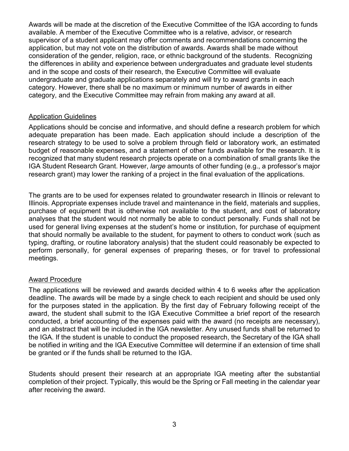Awards will be made at the discretion of the Executive Committee of the IGA according to funds available. A member of the Executive Committee who is a relative, advisor, or research supervisor of a student applicant may offer comments and recommendations concerning the application, but may not vote on the distribution of awards. Awards shall be made without consideration of the gender, religion, race, or ethnic background of the students. Recognizing the differences in ability and experience between undergraduates and graduate level students and in the scope and costs of their research, the Executive Committee will evaluate undergraduate and graduate applications separately and will try to award grants in each category. However, there shall be no maximum or minimum number of awards in either category, and the Executive Committee may refrain from making any award at all.

#### Application Guidelines

Applications should be concise and informative, and should define a research problem for which adequate preparation has been made. Each application should include a description of the research strategy to be used to solve a problem through field or laboratory work, an estimated budget of reasonable expenses, and a statement of other funds available for the research. It is recognized that many student research projects operate on a combination of small grants like the IGA Student Research Grant. However, *large* amounts of other funding (e.g., a professor's major research grant) may lower the ranking of a project in the final evaluation of the applications.

The grants are to be used for expenses related to groundwater research in Illinois or relevant to Illinois. Appropriate expenses include travel and maintenance in the field, materials and supplies, purchase of equipment that is otherwise not available to the student, and cost of laboratory analyses that the student would not normally be able to conduct personally. Funds shall not be used for general living expenses at the student's home or institution, for purchase of equipment that should normally be available to the student, for payment to others to conduct work (such as typing, drafting, or routine laboratory analysis) that the student could reasonably be expected to perform personally, for general expenses of preparing theses, or for travel to professional meetings.

#### Award Procedure

The applications will be reviewed and awards decided within 4 to 6 weeks after the application deadline. The awards will be made by a single check to each recipient and should be used only for the purposes stated in the application. By the first day of February following receipt of the award, the student shall submit to the IGA Executive Committee a brief report of the research conducted, a brief accounting of the expenses paid with the award (no receipts are necessary), and an abstract that will be included in the IGA newsletter. Any unused funds shall be returned to the IGA. If the student is unable to conduct the proposed research, the Secretary of the IGA shall be notified in writing and the IGA Executive Committee will determine if an extension of time shall be granted or if the funds shall be returned to the IGA.

Students should present their research at an appropriate IGA meeting after the substantial completion of their project. Typically, this would be the Spring or Fall meeting in the calendar year after receiving the award.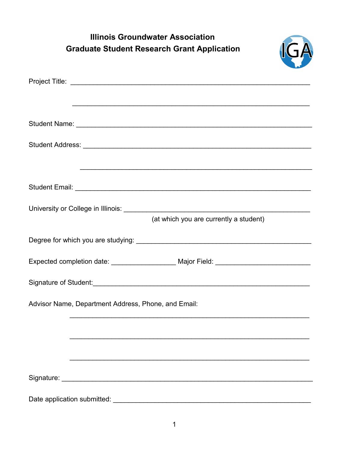| <b>Illinois Groundwater Association</b>                                          |
|----------------------------------------------------------------------------------|
| <b>Graduate Student Research Grant Application</b>                               |
|                                                                                  |
|                                                                                  |
|                                                                                  |
|                                                                                  |
|                                                                                  |
|                                                                                  |
|                                                                                  |
|                                                                                  |
|                                                                                  |
|                                                                                  |
| (at which you are currently a student)                                           |
|                                                                                  |
|                                                                                  |
| Expected completion date: __________________ Major Field: ______________________ |
|                                                                                  |
| Signature of Student:                                                            |
| Advisor Name, Department Address, Phone, and Email:                              |
|                                                                                  |
|                                                                                  |
|                                                                                  |
|                                                                                  |
|                                                                                  |
|                                                                                  |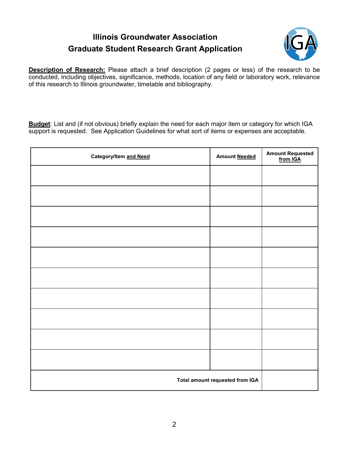# **Illinois Groundwater Association Graduate Student Research Grant Application**



**Description of Research:** Please attach a brief description (2 pages or less) of the research to be conducted, including objectives, significance, methods, location of any field or laboratory work, relevance of this research to Illinois groundwater, timetable and bibliography.

**Budget**: List and (if not obvious) briefly explain the need for each major item or category for which IGA support is requested. See Application Guidelines for what sort of items or expenses are acceptable.

| Category/Item and Need          | <b>Amount Needed</b> | Amount Requested<br>from IGA |
|---------------------------------|----------------------|------------------------------|
|                                 |                      |                              |
|                                 |                      |                              |
|                                 |                      |                              |
|                                 |                      |                              |
|                                 |                      |                              |
|                                 |                      |                              |
|                                 |                      |                              |
|                                 |                      |                              |
|                                 |                      |                              |
|                                 |                      |                              |
| Total amount requested from IGA |                      |                              |